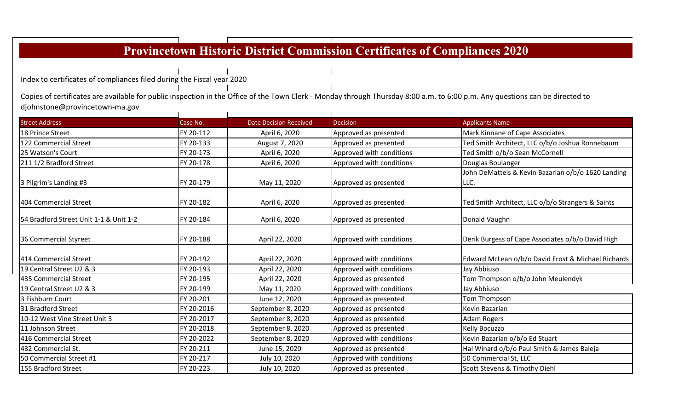## **Provincetown Historic District Commission Certificates of Compliances 2020**

Index to certificates of compliances filed during the Fiscal year 2020

Copies of certificates are available for public inspection in the Office of the Town Clerk ‐ Monday through Thursday 8:00 a.m. to 6:00 p.m. Any questions can be directed to djohnstone@provincetown‐ma.gov $\mathbf{I}$  $\mathbf{I}$  $\mathbf{L}$ 

| <b>Street Address</b>                  | Case No.   | <b>Date Decision Received</b> | <b>Decision</b>          | <b>Applicants Name</b>                                     |
|----------------------------------------|------------|-------------------------------|--------------------------|------------------------------------------------------------|
| 18 Prince Street                       | FY 20-112  | April 6, 2020                 | Approved as presented    | Mark Kinnane of Cape Associates                            |
| 122 Commercial Street                  | FY 20-133  | August 7, 2020                | Approved as presented    | Ted Smith Architect, LLC o/b/o Joshua Ronnebaum            |
| 25 Watson's Court                      | FY 20-173  | April 6, 2020                 | Approved with conditions | Ted Smith o/b/o Sean McCornell                             |
| 211 1/2 Bradford Street                | FY 20-178  | April 6, 2020                 | Approved with conditions | Douglas Boulanger                                          |
| 3 Pilgrim's Landing #3                 | FY 20-179  | May 11, 2020                  | Approved as presented    | John DeMatteis & Kevin Bazarian o/b/o 1620 Landing<br>LLC. |
| 404 Commercial Street                  | FY 20-182  | April 6, 2020                 | Approved as presented    | Ted Smith Architect, LLC o/b/o Strangers & Saints          |
| 54 Bradford Street Unit 1-1 & Unit 1-2 | FY 20-184  | April 6, 2020                 | Approved as presented    | Donald Vaughn                                              |
| 36 Commercial Styreet                  | FY 20-188  | April 22, 2020                | Approved with conditions | Derik Burgess of Cape Associates o/b/o David High          |
| 414 Commercial Street                  | FY 20-192  | April 22, 2020                | Approved with conditions | Edward McLean o/b/o David Frost & Michael Richards         |
| 19 Central Street U2 & 3               | FY 20-193  | April 22, 2020                | Approved with conditions | Jay Abbiuso                                                |
| 435 Commercial Street                  | FY 20-195  | April 22, 2020                | Approved as presented    | Tom Thompson o/b/o John Meulendyk                          |
| 19 Central Street U2 & 3               | FY 20-199  | May 11, 2020                  | Approved with conditions | Jay Abbiuso                                                |
| 3 Fishburn Court                       | FY 20-201  | June 12, 2020                 | Approved as presented    | Tom Thompson                                               |
| 31 Bradford Street                     | FY 20-2016 | September 8, 2020             | Approved as presented    | Kevin Bazarian                                             |
| 10-12 West Vine Street Unit 3          | FY 20-2017 | September 8, 2020             | Approved as presented    | Adam Rogers                                                |
| 11 Johnson Street                      | FY 20-2018 | September 8, 2020             | Approved as presented    | Kelly Bocuzzo                                              |
| 416 Commercial Street                  | FY 20-2022 | September 8, 2020             | Approved with conditions | Kevin Bazarian o/b/o Ed Stuart                             |
| 432 Commercial St.                     | FY 20-211  | June 15, 2020                 | Approved as presented    | Hal Winard o/b/o Paul Smith & James Baleja                 |
| 50 Commercial Street #1                | FY 20-217  | July 10, 2020                 | Approved with conditions | 50 Commercial St, LLC                                      |
| 155 Bradford Street                    | FY 20-223  | July 10, 2020                 | Approved as presented    | Scott Stevens & Timothy Diehl                              |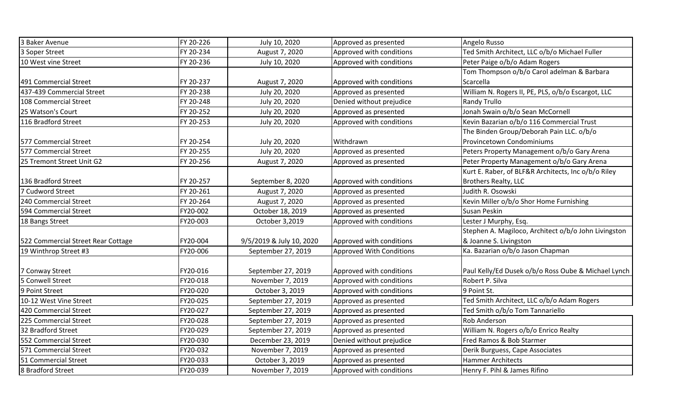| 3 Baker Avenue                     | FY 20-226 | July 10, 2020            | Approved as presented           | Angelo Russo                                         |
|------------------------------------|-----------|--------------------------|---------------------------------|------------------------------------------------------|
| 3 Soper Street                     | FY 20-234 | August 7, 2020           | Approved with conditions        | Ted Smith Architect, LLC o/b/o Michael Fuller        |
| 10 West vine Street                | FY 20-236 | July 10, 2020            | Approved with conditions        | Peter Paige o/b/o Adam Rogers                        |
|                                    |           |                          |                                 | Tom Thompson o/b/o Carol adelman & Barbara           |
| 491 Commercial Street              | FY 20-237 | August 7, 2020           | Approved with conditions        | Scarcella                                            |
| 437-439 Commercial Street          | FY 20-238 | July 20, 2020            | Approved as presented           | William N. Rogers II, PE, PLS, o/b/o Escargot, LLC   |
| 108 Commercial Street              | FY 20-248 | July 20, 2020            | Denied without prejudice        | <b>Randy Trullo</b>                                  |
| 25 Watson's Court                  | FY 20-252 | July 20, 2020            | Approved as presented           | Jonah Swain o/b/o Sean McCornell                     |
| 116 Bradford Street                | FY 20-253 | July 20, 2020            | Approved with conditions        | Kevin Bazarian o/b/o 116 Commercial Trust            |
|                                    |           |                          |                                 | The Binden Group/Deborah Pain LLC. o/b/o             |
| 577 Commercial Street              | FY 20-254 | July 20, 2020            | Withdrawn                       | Provincetown Condominiums                            |
| 577 Commercial Street              | FY 20-255 | July 20, 2020            | Approved as presented           | Peters Property Management o/b/o Gary Arena          |
| 25 Tremont Street Unit G2          | FY 20-256 | August 7, 2020           | Approved as presented           | Peter Property Management o/b/o Gary Arena           |
|                                    |           |                          |                                 | Kurt E. Raber, of BLF&R Architects, Inc o/b/o Riley  |
| 136 Bradford Street                | FY 20-257 | September 8, 2020        | Approved with conditions        | <b>Brothers Realty, LLC</b>                          |
| 7 Cudword Street                   | FY 20-261 | August 7, 2020           | Approved as presented           | Judith R. Osowski                                    |
| 240 Commercial Street              | FY 20-264 | August 7, 2020           | Approved as presented           | Kevin Miller o/b/o Shor Home Furnishing              |
| 594 Commercial Street              | FY20-002  | October 18, 2019         | Approved as presented           | Susan Peskin                                         |
| 18 Bangs Street                    | FY20-003  | October 3,2019           | Approved with conditions        | Lester J Murphy, Esq.                                |
|                                    |           |                          |                                 | Stephen A. Magiloco, Architect o/b/o John Livingston |
| 522 Commercial Street Rear Cottage | FY20-004  | 9/5/2019 & July 10, 2020 | Approved with conditions        | & Joanne S. Livingston                               |
| 19 Winthrop Street #3              | FY20-006  | September 27, 2019       | <b>Approved With Conditions</b> | Ka. Bazarian o/b/o Jason Chapman                     |
|                                    |           |                          |                                 |                                                      |
| 7 Conway Street                    | FY20-016  | September 27, 2019       | Approved with conditions        | Paul Kelly/Ed Dusek o/b/o Ross Oube & Michael Lynch  |
| 5 Conwell Street                   | FY20-018  | November 7, 2019         | Approved with conditions        | Robert P. Silva                                      |
| 9 Point Street                     | FY20-020  | October 3, 2019          | Approved with conditions        | 9 Point St.                                          |
| 10-12 West Vine Street             | FY20-025  | September 27, 2019       | Approved as presented           | Ted Smith Architect, LLC o/b/o Adam Rogers           |
| 420 Commercial Street              | FY20-027  | September 27, 2019       | Approved as presented           | Ted Smith o/b/o Tom Tannariello                      |
| 225 Commercial Street              | FY20-028  | September 27, 2019       | Approved as presented           | <b>Rob Anderson</b>                                  |
| 32 Bradford Street                 | FY20-029  | September 27, 2019       | Approved as presented           | William N. Rogers o/b/o Enrico Realty                |
| 552 Commercial Street              | FY20-030  | December 23, 2019        | Denied without prejudice        | Fred Ramos & Bob Starmer                             |
| 571 Commercial Street              | FY20-032  | November 7, 2019         | Approved as presented           | Derik Burguess, Cape Associates                      |
| 51 Commercial Street               | FY20-033  | October 3, 2019          | Approved as presented           | <b>Hammer Architects</b>                             |
| 8 Bradford Street                  | FY20-039  | November 7, 2019         | Approved with conditions        | Henry F. Pihl & James Rifino                         |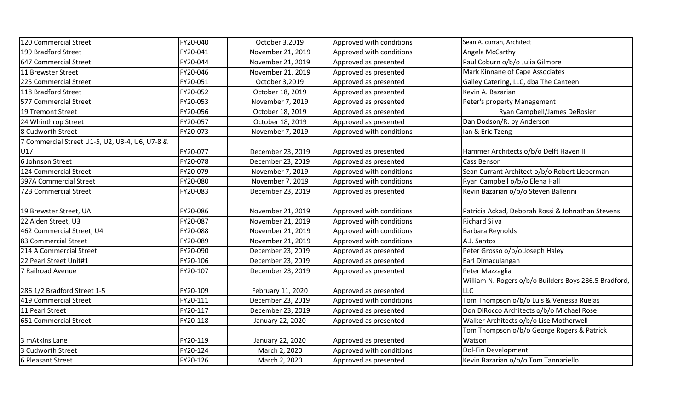| 120 Commercial Street                          | FY20-040 | October 3,2019    | Approved with conditions | Sean A. curran, Architect                             |
|------------------------------------------------|----------|-------------------|--------------------------|-------------------------------------------------------|
| 199 Bradford Street                            | FY20-041 | November 21, 2019 | Approved with conditions | Angela McCarthy                                       |
| 647 Commercial Street                          | FY20-044 | November 21, 2019 | Approved as presented    | Paul Coburn o/b/o Julia Gilmore                       |
| 11 Brewster Street                             | FY20-046 | November 21, 2019 | Approved as presented    | Mark Kinnane of Cape Associates                       |
| 225 Commercial Street                          | FY20-051 | October 3,2019    | Approved as presented    | Galley Catering, LLC, dba The Canteen                 |
| 118 Bradford Street                            | FY20-052 | October 18, 2019  | Approved as presented    | Kevin A. Bazarian                                     |
| 577 Commercial Street                          | FY20-053 | November 7, 2019  | Approved as presented    | Peter's property Management                           |
| 19 Tremont Street                              | FY20-056 | October 18, 2019  | Approved as presented    | Ryan Campbell/James DeRosier                          |
| 24 Whinthrop Street                            | FY20-057 | October 18, 2019  | Approved as presented    | Dan Dodson/R. by Anderson                             |
| 8 Cudworth Street                              | FY20-073 | November 7, 2019  | Approved with conditions | lan & Eric Tzeng                                      |
| 7 Commercial Street U1-5, U2, U3-4, U6, U7-8 & |          |                   |                          |                                                       |
| U17                                            | FY20-077 | December 23, 2019 | Approved as presented    | Hammer Architects o/b/o Delft Haven II                |
| 6 Johnson Street                               | FY20-078 | December 23, 2019 | Approved as presented    | <b>Cass Benson</b>                                    |
| 124 Commercial Street                          | FY20-079 | November 7, 2019  | Approved with conditions | Sean Currant Architect o/b/o Robert Lieberman         |
| 397A Commercial Street                         | FY20-080 | November 7, 2019  | Approved with conditions | Ryan Campbell o/b/o Elena Hall                        |
| <b>72B Commercial Street</b>                   | FY20-083 | December 23, 2019 | Approved as presented    | Kevin Bazarian o/b/o Steven Ballerini                 |
|                                                |          |                   |                          |                                                       |
| 19 Brewster Street, UA                         | FY20-086 | November 21, 2019 | Approved with conditions | Patricia Ackad, Deborah Rossi & Johnathan Stevens     |
| 22 Alden Street, U3                            | FY20-087 | November 21, 2019 | Approved with conditions | <b>Richard Silva</b>                                  |
| 462 Commercial Street, U4                      | FY20-088 | November 21, 2019 | Approved with conditions | Barbara Reynolds                                      |
| 83 Commercial Street                           | FY20-089 | November 21, 2019 | Approved with conditions | A.J. Santos                                           |
| 214 A Commercial Street                        | FY20-090 | December 23, 2019 | Approved as presented    | Peter Grosso o/b/o Joseph Haley                       |
| 22 Pearl Street Unit#1                         | FY20-106 | December 23, 2019 | Approved as presented    | Earl Dimaculangan                                     |
| 7 Railroad Avenue                              | FY20-107 | December 23, 2019 | Approved as presented    | Peter Mazzaglia                                       |
|                                                |          |                   |                          | William N. Rogers o/b/o Builders Boys 286.5 Bradford, |
| 286 1/2 Bradford Street 1-5                    | FY20-109 | February 11, 2020 | Approved as presented    | <b>LLC</b>                                            |
| 419 Commercial Street                          | FY20-111 | December 23, 2019 | Approved with conditions | Tom Thompson o/b/o Luis & Venessa Ruelas              |
| 11 Pearl Street                                | FY20-117 | December 23, 2019 | Approved as presented    | Don DiRocco Architects o/b/o Michael Rose             |
| 651 Commercial Street                          | FY20-118 | January 22, 2020  | Approved as presented    | Walker Architects o/b/o Lise Motherwell               |
|                                                |          |                   |                          | Tom Thompson o/b/o George Rogers & Patrick            |
| 3 mAtkins Lane                                 | FY20-119 | January 22, 2020  | Approved as presented    | Watson                                                |
| 3 Cudworth Street                              | FY20-124 | March 2, 2020     | Approved with conditions | Dol-Fin Development                                   |
| 6 Pleasant Street                              | FY20-126 | March 2, 2020     | Approved as presented    | Kevin Bazarian o/b/o Tom Tannariello                  |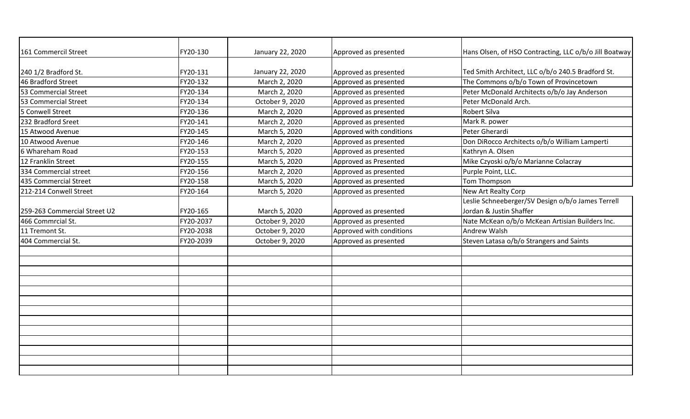| 161 Commercil Street         | FY20-130  | January 22, 2020 | Approved as presented    | Hans Olsen, of HSO Contracting, LLC o/b/o Jill Boatway |
|------------------------------|-----------|------------------|--------------------------|--------------------------------------------------------|
|                              |           |                  |                          |                                                        |
| 240 1/2 Bradford St.         | FY20-131  | January 22, 2020 | Approved as presented    | Ted Smith Architect, LLC o/b/o 240.5 Bradford St.      |
| 46 Bradford Street           | FY20-132  | March 2, 2020    | Approved as presented    | The Commons o/b/o Town of Provincetown                 |
| 53 Commercial Street         | FY20-134  | March 2, 2020    | Approved as presented    | Peter McDonald Architects o/b/o Jay Anderson           |
| 53 Commercial Street         | FY20-134  | October 9, 2020  | Approved as presented    | Peter McDonald Arch.                                   |
| 5 Conwell Street             | FY20-136  | March 2, 2020    | Approved as presented    | <b>Robert Silva</b>                                    |
| 232 Bradford Sreet           | FY20-141  | March 2, 2020    | Approved as presented    | Mark R. power                                          |
| 15 Atwood Avenue             | FY20-145  | March 5, 2020    | Approved with conditions | Peter Gherardi                                         |
| 10 Atwood Avenue             | FY20-146  | March 2, 2020    | Approved as presented    | Don DiRocco Architects o/b/o William Lamperti          |
| 6 Whareham Road              | FY20-153  | March 5, 2020    | Approved as presented    | Kathryn A. Olsen                                       |
| 12 Franklin Street           | FY20-155  | March 5, 2020    | Approved as Presented    | Mike Czyoski o/b/o Marianne Colacray                   |
| 334 Commercial street        | FY20-156  | March 2, 2020    | Approved as presented    | Purple Point, LLC.                                     |
| 435 Commercial Street        | FY20-158  | March 5, 2020    | Approved as presented    | Tom Thompson                                           |
| 212-214 Conwell Street       | FY20-164  | March 5, 2020    | Approved as presented    | New Art Realty Corp                                    |
|                              |           |                  |                          | Leslie Schneeberger/SV Design o/b/o James Terrell      |
| 259-263 Commercial Street U2 | FY20-165  | March 5, 2020    | Approved as presented    | Jordan & Justin Shaffer                                |
| 466 Commrcial St.            | FY20-2037 | October 9, 2020  | Approved as presented    | Nate McKean o/b/o McKean Artisian Builders Inc.        |
| 11 Tremont St.               | FY20-2038 | October 9, 2020  | Approved with conditions | <b>Andrew Walsh</b>                                    |
| 404 Commercial St.           | FY20-2039 | October 9, 2020  | Approved as presented    | Steven Latasa o/b/o Strangers and Saints               |
|                              |           |                  |                          |                                                        |
|                              |           |                  |                          |                                                        |
|                              |           |                  |                          |                                                        |
|                              |           |                  |                          |                                                        |
|                              |           |                  |                          |                                                        |
|                              |           |                  |                          |                                                        |
|                              |           |                  |                          |                                                        |
|                              |           |                  |                          |                                                        |
|                              |           |                  |                          |                                                        |
|                              |           |                  |                          |                                                        |
|                              |           |                  |                          |                                                        |
|                              |           |                  |                          |                                                        |
|                              |           |                  |                          |                                                        |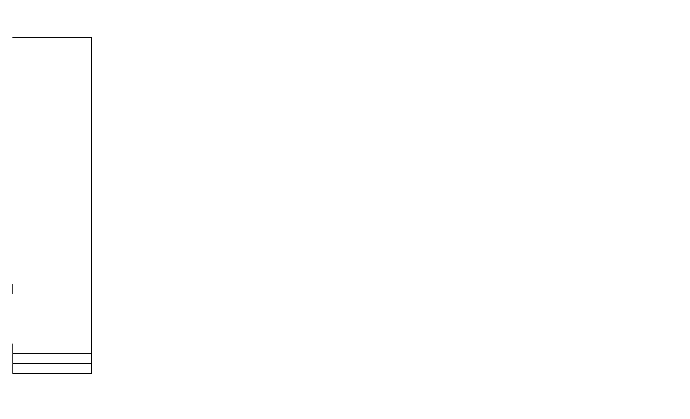